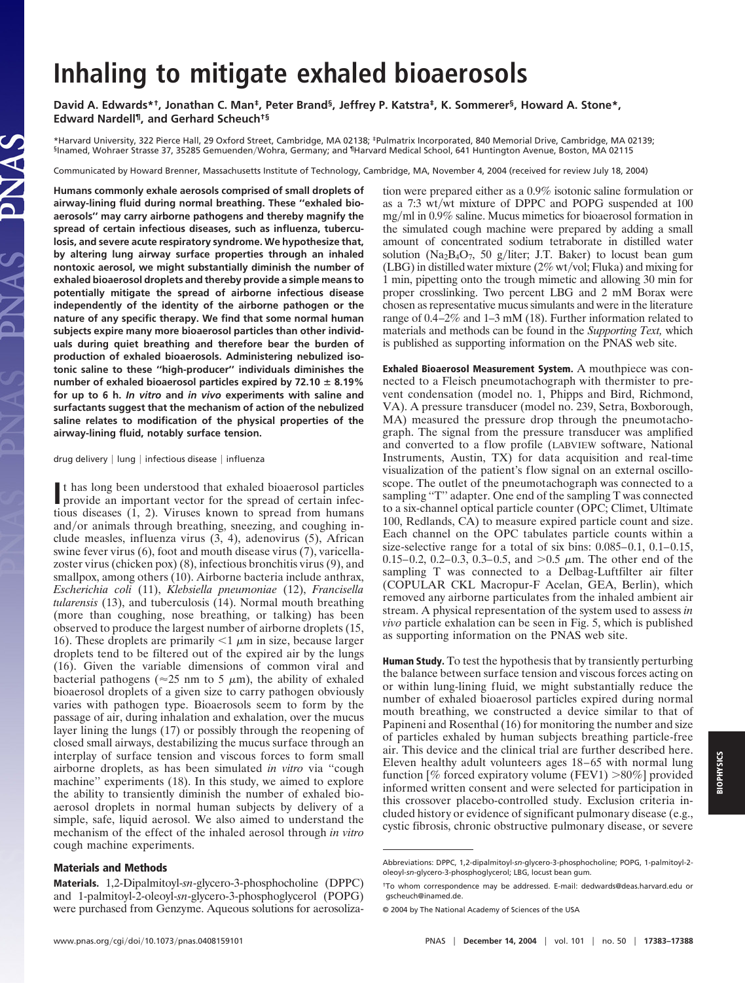## **Inhaling to mitigate exhaled bioaerosols**

**David A. Edwards\*†, Jonathan C. Man‡, Peter Brand§, Jeffrey P. Katstra‡, K. Sommerer§, Howard A. Stone\*, Edward Nardell¶, and Gerhard Scheuch†§**

\*Harvard University, 322 Pierce Hall, 29 Oxford Street, Cambridge, MA 02138; ‡Pulmatrix Incorporated, 840 Memorial Drive, Cambridge, MA 02139; §Inamed, Wohraer Strasse 37, 35285 GemuendenWohra, Germany; and ¶Harvard Medical School, 641 Huntington Avenue, Boston, MA 02115

Communicated by Howard Brenner, Massachusetts Institute of Technology, Cambridge, MA, November 4, 2004 (received for review July 18, 2004)

**Humans commonly exhale aerosols comprised of small droplets of airway-lining fluid during normal breathing. These ''exhaled bioaerosols'' may carry airborne pathogens and thereby magnify the spread of certain infectious diseases, such as influenza, tuberculosis, and severe acute respiratory syndrome. We hypothesize that, by altering lung airway surface properties through an inhaled nontoxic aerosol, we might substantially diminish the number of exhaled bioaerosol droplets and thereby provide a simple means to potentially mitigate the spread of airborne infectious disease independently of the identity of the airborne pathogen or the nature of any specific therapy. We find that some normal human subjects expire many more bioaerosol particles than other individuals during quiet breathing and therefore bear the burden of production of exhaled bioaerosols. Administering nebulized isotonic saline to these ''high-producer'' individuals diminishes the number of exhaled bioaerosol particles expired by 72.10 8.19% for up to 6 h.** *In vitro* **and** *in vivo* **experiments with saline and surfactants suggest that the mechanism of action of the nebulized saline relates to modification of the physical properties of the airway-lining fluid, notably surface tension.**

drug delivery | lung | infectious disease | influenza

It has long been understood that exhaled bioaerosol particles<br>provide an important vector for the spread of certain infecprovide an important vector for the spread of certain infectious diseases (1, 2). Viruses known to spread from humans and/or animals through breathing, sneezing, and coughing include measles, influenza virus (3, 4), adenovirus (5), African swine fever virus (6), foot and mouth disease virus (7), varicellazoster virus (chicken pox) (8), infectious bronchitis virus (9), and smallpox, among others (10). Airborne bacteria include anthrax, *Escherichia coli* (11), *Klebsiella pneumoniae* (12), *Francisella tularensis* (13), and tuberculosis (14). Normal mouth breathing (more than coughing, nose breathing, or talking) has been observed to produce the largest number of airborne droplets (15, 16). These droplets are primarily  $\leq 1 \mu m$  in size, because larger droplets tend to be filtered out of the expired air by the lungs (16). Given the variable dimensions of common viral and bacterial pathogens ( $\approx$ 25 nm to 5  $\mu$ m), the ability of exhaled bioaerosol droplets of a given size to carry pathogen obviously varies with pathogen type. Bioaerosols seem to form by the passage of air, during inhalation and exhalation, over the mucus layer lining the lungs (17) or possibly through the reopening of closed small airways, destabilizing the mucus surface through an interplay of surface tension and viscous forces to form small airborne droplets, as has been simulated *in vitro* via ''cough machine" experiments (18). In this study, we aimed to explore the ability to transiently diminish the number of exhaled bioaerosol droplets in normal human subjects by delivery of a simple, safe, liquid aerosol. We also aimed to understand the mechanism of the effect of the inhaled aerosol through *in vitro* cough machine experiments.

## **Materials and Methods**

**Materials.** 1,2-Dipalmitoyl-*sn*-glycero-3-phosphocholine (DPPC) and 1-palmitoyl-2-oleoyl-*sn*-glycero-3-phosphoglycerol (POPG) were purchased from Genzyme. Aqueous solutions for aerosolization were prepared either as a 0.9% isotonic saline formulation or as a 7:3 wt/wt mixture of DPPC and POPG suspended at 100  $mg/ml$  in 0.9% saline. Mucus mimetics for bioaerosol formation in the simulated cough machine were prepared by adding a small amount of concentrated sodium tetraborate in distilled water solution (Na<sub>2</sub>B<sub>4</sub>O<sub>7</sub>, 50 g/liter; J.T. Baker) to locust bean gum (LBG) in distilled water mixture  $(2\% \text{ wt/vol}; \text{Fluka})$  and mixing for 1 min, pipetting onto the trough mimetic and allowing 30 min for proper crosslinking. Two percent LBG and 2 mM Borax were chosen as representative mucus simulants and were in the literature range of 0.4–2% and 1–3 mM (18). Further information related to materials and methods can be found in the *Supporting Text,* which is published as supporting information on the PNAS web site.

**Exhaled Bioaerosol Measurement System.** A mouthpiece was connected to a Fleisch pneumotachograph with thermister to prevent condensation (model no. 1, Phipps and Bird, Richmond, VA). A pressure transducer (model no. 239, Setra, Boxborough, MA) measured the pressure drop through the pneumotachograph. The signal from the pressure transducer was amplified and converted to a flow profile (LABVIEW software, National Instruments, Austin, TX) for data acquisition and real-time visualization of the patient's flow signal on an external oscilloscope. The outlet of the pneumotachograph was connected to a sampling "T" adapter. One end of the sampling T was connected to a six-channel optical particle counter (OPC; Climet, Ultimate 100, Redlands, CA) to measure expired particle count and size. Each channel on the OPC tabulates particle counts within a size-selective range for a total of six bins: 0.085–0.1, 0.1–0.15, 0.15–0.2, 0.2–0.3, 0.3–0.5, and  $>0.5 \mu$ m. The other end of the sampling T was connected to a Delbag-Luftfilter air filter (COPULAR CKL Macropur-F Acelan, GEA, Berlin), which removed any airborne particulates from the inhaled ambient air stream. A physical representation of the system used to assess *in vivo* particle exhalation can be seen in Fig. 5, which is published as supporting information on the PNAS web site.

**Human Study.** To test the hypothesis that by transiently perturbing the balance between surface tension and viscous forces acting on or within lung-lining fluid, we might substantially reduce the number of exhaled bioaerosol particles expired during normal mouth breathing, we constructed a device similar to that of Papineni and Rosenthal (16) for monitoring the number and size of particles exhaled by human subjects breathing particle-free air. This device and the clinical trial are further described here. Eleven healthy adult volunteers ages 18–65 with normal lung function [% forced expiratory volume (FEV1)  $>80\%$ ] provided informed written consent and were selected for participation in this crossover placebo-controlled study. Exclusion criteria included history or evidence of significant pulmonary disease (e.g., cystic fibrosis, chronic obstructive pulmonary disease, or severe

Abbreviations: DPPC, 1,2-dipalmitoyl-*sn*-glycero-3-phosphocholine; POPG, 1-palmitoyl-2 oleoyl-*sn*-glycero-3-phosphoglycerol; LBG, locust bean gum.

<sup>†</sup>To whom correspondence may be addressed. E-mail: dedwards@deas.harvard.edu or gscheuch@inamed.de.

<sup>© 2004</sup> by The National Academy of Sciences of the USA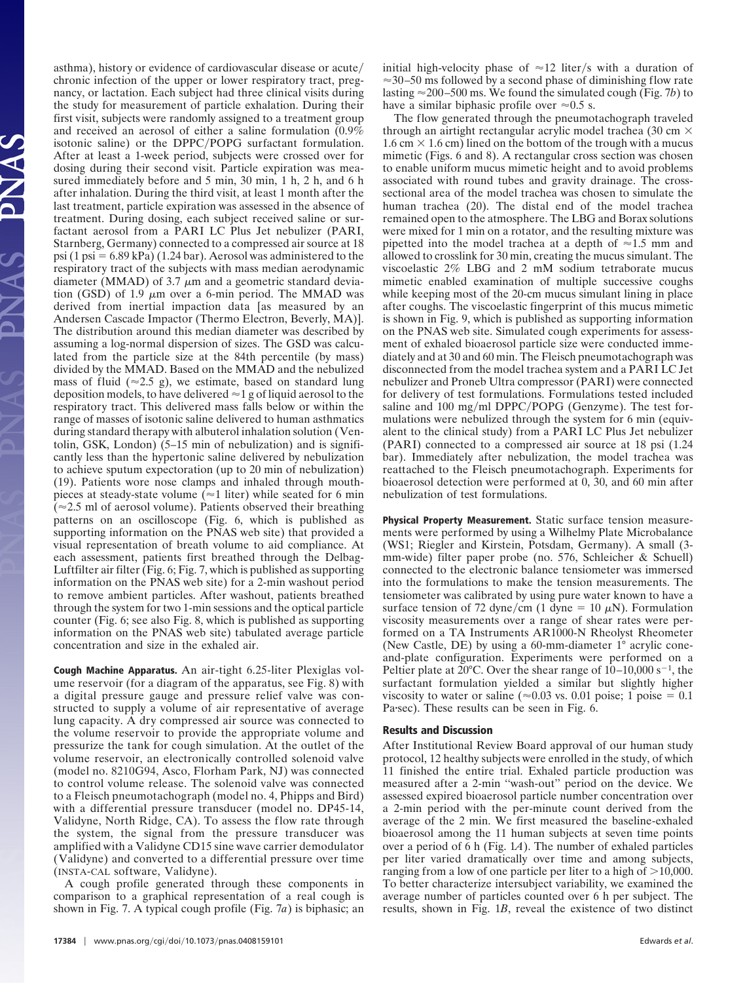asthma), history or evidence of cardiovascular disease or acute chronic infection of the upper or lower respiratory tract, pregnancy, or lactation. Each subject had three clinical visits during the study for measurement of particle exhalation. During their first visit, subjects were randomly assigned to a treatment group and received an aerosol of either a saline formulation (0.9% isotonic saline) or the DPPC/POPG surfactant formulation. After at least a 1-week period, subjects were crossed over for dosing during their second visit. Particle expiration was measured immediately before and 5 min, 30 min, 1 h, 2 h, and 6 h after inhalation. During the third visit, at least 1 month after the last treatment, particle expiration was assessed in the absence of treatment. During dosing, each subject received saline or surfactant aerosol from a PARI LC Plus Jet nebulizer (PARI, Starnberg, Germany) connected to a compressed air source at 18 psi (1 psi  $= 6.89$  kPa) (1.24 bar). Aerosol was administered to the respiratory tract of the subjects with mass median aerodynamic diameter (MMAD) of 3.7  $\mu$ m and a geometric standard deviation (GSD) of 1.9  $\mu$ m over a 6-min period. The MMAD was derived from inertial impaction data [as measured by an Andersen Cascade Impactor (Thermo Electron, Beverly, MA)]. The distribution around this median diameter was described by assuming a log-normal dispersion of sizes. The GSD was calculated from the particle size at the 84th percentile (by mass) divided by the MMAD. Based on the MMAD and the nebulized mass of fluid ( $\approx$ 2.5 g), we estimate, based on standard lung deposition models, to have delivered  $\approx$  1 g of liquid aerosol to the respiratory tract. This delivered mass falls below or within the range of masses of isotonic saline delivered to human asthmatics during standard therapy with albuterol inhalation solution (Ventolin, GSK, London) (5–15 min of nebulization) and is significantly less than the hypertonic saline delivered by nebulization to achieve sputum expectoration (up to 20 min of nebulization) (19). Patients wore nose clamps and inhaled through mouthpieces at steady-state volume ( $\approx$ 1 liter) while seated for 6 min  $(\approx 2.5 \text{ ml of aerosol volume})$ . Patients observed their breathing patterns on an oscilloscope (Fig. 6, which is published as supporting information on the PNAS web site) that provided a visual representation of breath volume to aid compliance. At each assessment, patients first breathed through the Delbag-Luftfilter air filter (Fig. 6; Fig. 7, which is published as supporting information on the PNAS web site) for a 2-min washout period to remove ambient particles. After washout, patients breathed through the system for two 1-min sessions and the optical particle counter (Fig. 6; see also Fig. 8, which is published as supporting information on the PNAS web site) tabulated average particle concentration and size in the exhaled air.

**Cough Machine Apparatus.** An air-tight 6.25-liter Plexiglas volume reservoir (for a diagram of the apparatus, see Fig. 8) with a digital pressure gauge and pressure relief valve was constructed to supply a volume of air representative of average lung capacity. A dry compressed air source was connected to the volume reservoir to provide the appropriate volume and pressurize the tank for cough simulation. At the outlet of the volume reservoir, an electronically controlled solenoid valve (model no. 8210G94, Asco, Florham Park, NJ) was connected to control volume release. The solenoid valve was connected to a Fleisch pneumotachograph (model no. 4, Phipps and Bird) with a differential pressure transducer (model no. DP45-14, Validyne, North Ridge, CA). To assess the flow rate through the system, the signal from the pressure transducer was amplified with a Validyne CD15 sine wave carrier demodulator (Validyne) and converted to a differential pressure over time (INSTA-CAL software, Validyne).

A cough profile generated through these components in comparison to a graphical representation of a real cough is shown in Fig. 7. A typical cough profile (Fig. 7*a*) is biphasic; an initial high-velocity phase of  $\approx$ 12 liter/s with a duration of  $\approx$  30–50 ms followed by a second phase of diminishing flow rate lasting  $\approx$  200–500 ms. We found the simulated cough (Fig. 7*b*) to have a similar biphasic profile over  $\approx 0.5$  s.

The flow generated through the pneumotachograph traveled through an airtight rectangular acrylic model trachea (30 cm  $\times$  $1.6 \text{ cm} \times 1.6 \text{ cm}$ ) lined on the bottom of the trough with a mucus mimetic (Figs. 6 and 8). A rectangular cross section was chosen to enable uniform mucus mimetic height and to avoid problems associated with round tubes and gravity drainage. The crosssectional area of the model trachea was chosen to simulate the human trachea (20). The distal end of the model trachea remained open to the atmosphere. The LBG and Borax solutions were mixed for 1 min on a rotator, and the resulting mixture was pipetted into the model trachea at a depth of  $\approx 1.5$  mm and allowed to crosslink for 30 min, creating the mucus simulant. The viscoelastic 2% LBG and 2 mM sodium tetraborate mucus mimetic enabled examination of multiple successive coughs while keeping most of the 20-cm mucus simulant lining in place after coughs. The viscoelastic fingerprint of this mucus mimetic is shown in Fig. 9, which is published as supporting information on the PNAS web site. Simulated cough experiments for assessment of exhaled bioaerosol particle size were conducted immediately and at 30 and 60 min. The Fleisch pneumotachograph was disconnected from the model trachea system and a PARI LC Jet nebulizer and Proneb Ultra compressor (PARI) were connected for delivery of test formulations. Formulations tested included saline and 100 mg/ml DPPC/POPG (Genzyme). The test formulations were nebulized through the system for 6 min (equivalent to the clinical study) from a PARI LC Plus Jet nebulizer (PARI) connected to a compressed air source at 18 psi (1.24 bar). Immediately after nebulization, the model trachea was reattached to the Fleisch pneumotachograph. Experiments for bioaerosol detection were performed at 0, 30, and 60 min after nebulization of test formulations.

**Physical Property Measurement.** Static surface tension measurements were performed by using a Wilhelmy Plate Microbalance (WS1; Riegler and Kirstein, Potsdam, Germany). A small (3 mm-wide) filter paper probe (no. 576, Schleicher & Schuell) connected to the electronic balance tensiometer was immersed into the formulations to make the tension measurements. The tensiometer was calibrated by using pure water known to have a surface tension of 72 dyne/cm (1 dyne = 10  $\mu$ N). Formulation viscosity measurements over a range of shear rates were performed on a TA Instruments AR1000-N Rheolyst Rheometer (New Castle, DE) by using a 60-mm-diameter 1° acrylic coneand-plate configuration. Experiments were performed on a Peltier plate at 20°C. Over the shear range of  $10-10,000 s^{-1}$ , the surfactant formulation yielded a similar but slightly higher viscosity to water or saline ( $\approx 0.03$  vs. 0.01 poise; 1 poise = 0.1 Pasec). These results can be seen in Fig. 6.

## **Results and Discussion**

After Institutional Review Board approval of our human study protocol, 12 healthy subjects were enrolled in the study, of which 11 finished the entire trial. Exhaled particle production was measured after a 2-min ''wash-out'' period on the device. We assessed expired bioaerosol particle number concentration over a 2-min period with the per-minute count derived from the average of the 2 min. We first measured the baseline-exhaled bioaerosol among the 11 human subjects at seven time points over a period of 6 h (Fig. 1*A*). The number of exhaled particles per liter varied dramatically over time and among subjects, ranging from a low of one particle per liter to a high of  $>10,000$ . To better characterize intersubject variability, we examined the average number of particles counted over 6 h per subject. The results, shown in Fig. 1*B*, reveal the existence of two distinct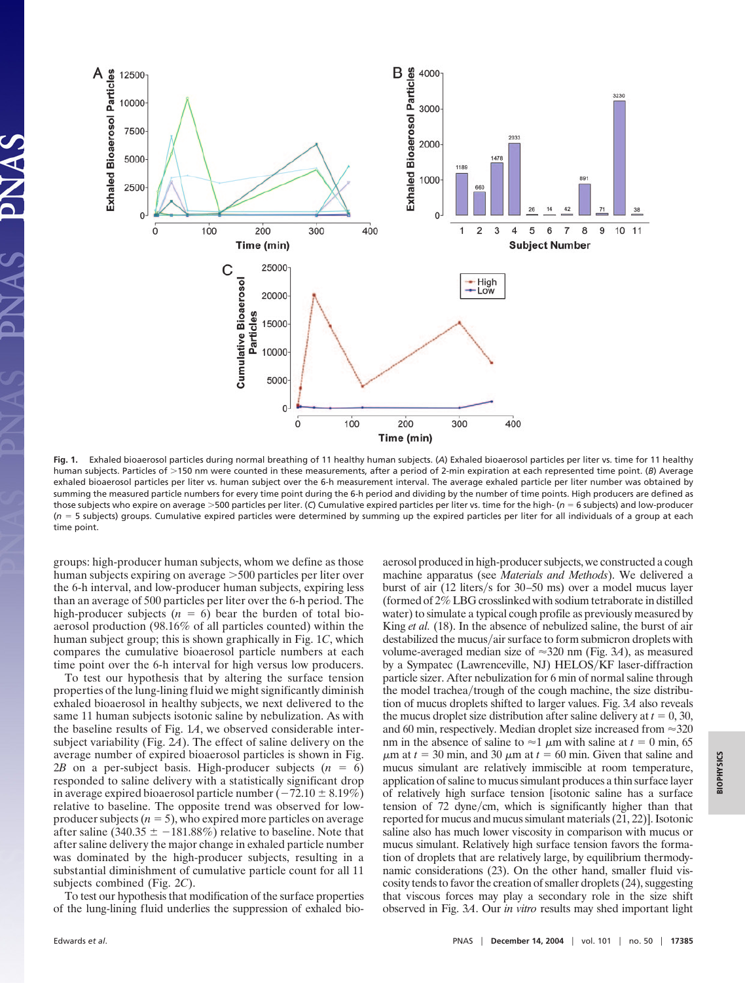

**Fig. 1.** Exhaled bioaerosol particles during normal breathing of 11 healthy human subjects. (*A*) Exhaled bioaerosol particles per liter vs. time for 11 healthy human subjects. Particles of >150 nm were counted in these measurements, after a period of 2-min expiration at each represented time point. (B) Average exhaled bioaerosol particles per liter vs. human subject over the 6-h measurement interval. The average exhaled particle per liter number was obtained by summing the measured particle numbers for every time point during the 6-h period and dividing by the number of time points. High producers are defined as those subjects who expire on average 500 particles per liter. (*C*) Cumulative expired particles per liter vs. time for the high- (*n* 6 subjects) and low-producer (*n* 5 subjects) groups. Cumulative expired particles were determined by summing up the expired particles per liter for all individuals of a group at each time point.

groups: high-producer human subjects, whom we define as those human subjects expiring on average  $>500$  particles per liter over the 6-h interval, and low-producer human subjects, expiring less than an average of 500 particles per liter over the 6-h period. The high-producer subjects  $(n = 6)$  bear the burden of total bioaerosol production (98.16% of all particles counted) within the human subject group; this is shown graphically in Fig. 1*C*, which compares the cumulative bioaerosol particle numbers at each time point over the 6-h interval for high versus low producers.

To test our hypothesis that by altering the surface tension properties of the lung-lining fluid we might significantly diminish exhaled bioaerosol in healthy subjects, we next delivered to the same 11 human subjects isotonic saline by nebulization. As with the baseline results of Fig. 1*A*, we observed considerable intersubject variability (Fig. 2*A*). The effect of saline delivery on the average number of expired bioaerosol particles is shown in Fig. 2*B* on a per-subject basis. High-producer subjects  $(n = 6)$ responded to saline delivery with a statistically significant drop in average expired bioaerosol particle number ( $-72.10 \pm 8.19\%$ ) relative to baseline. The opposite trend was observed for lowproducer subjects  $(n = 5)$ , who expired more particles on average after saline (340.35  $\pm$  -181.88%) relative to baseline. Note that after saline delivery the major change in exhaled particle number was dominated by the high-producer subjects, resulting in a substantial diminishment of cumulative particle count for all 11 subjects combined (Fig. 2*C*).

To test our hypothesis that modification of the surface properties of the lung-lining fluid underlies the suppression of exhaled bioaerosol produced in high-producer subjects, we constructed a cough machine apparatus (see *Materials and Methods*). We delivered a burst of air  $(12$  liters/s for 30–50 ms) over a model mucus layer (formed of 2% LBG crosslinked with sodium tetraborate in distilled water) to simulate a typical cough profile as previously measured by King *et al.* (18). In the absence of nebulized saline, the burst of air destabilized the mucus/air surface to form submicron droplets with volume-averaged median size of  $\approx$ 320 nm (Fig. 3*A*), as measured by a Sympatec (Lawrenceville, NJ) HELOS/KF laser-diffraction particle sizer. After nebulization for 6 min of normal saline through the model trachea/trough of the cough machine, the size distribution of mucus droplets shifted to larger values. Fig. 3*A* also reveals the mucus droplet size distribution after saline delivery at  $t = 0, 30$ , and 60 min, respectively. Median droplet size increased from  $\approx$  320 nm in the absence of saline to  $\approx$  1  $\mu$ m with saline at *t* = 0 min, 65  $\mu$ m at  $t = 30$  min, and 30  $\mu$ m at  $t = 60$  min. Given that saline and mucus simulant are relatively immiscible at room temperature, application of saline to mucus simulant produces a thin surface layer of relatively high surface tension [isotonic saline has a surface tension of  $72$  dyne/cm, which is significantly higher than that reported for mucus and mucus simulant materials (21, 22)]. Isotonic saline also has much lower viscosity in comparison with mucus or mucus simulant. Relatively high surface tension favors the formation of droplets that are relatively large, by equilibrium thermodynamic considerations (23). On the other hand, smaller fluid viscosity tends to favor the creation of smaller droplets (24), suggesting that viscous forces may play a secondary role in the size shift observed in Fig. 3*A*. Our *in vitro* results may shed important light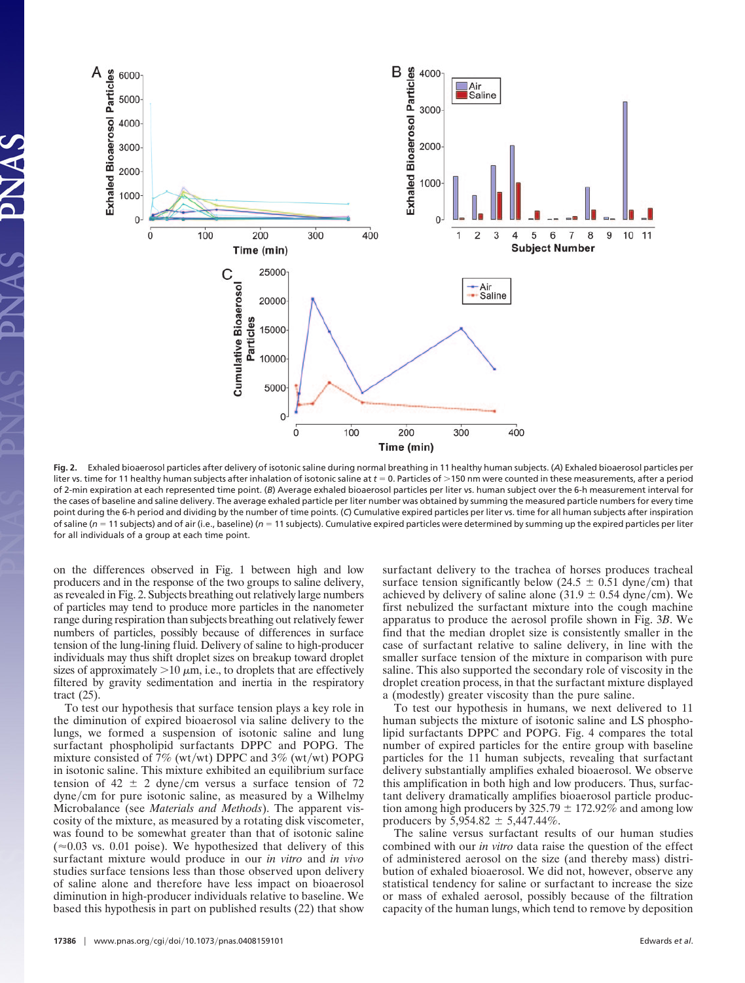

**Fig. 2.** Exhaled bioaerosol particles after delivery of isotonic saline during normal breathing in 11 healthy human subjects. (*A*) Exhaled bioaerosol particles per liter vs. time for 11 healthy human subjects after inhalation of isotonic saline at  $t = 0$ . Particles of >150 nm were counted in these measurements, after a period of 2-min expiration at each represented time point. (*B*) Average exhaled bioaerosol particles per liter vs. human subject over the 6-h measurement interval for the cases of baseline and saline delivery. The average exhaled particle per liter number was obtained by summing the measured particle numbers for every time point during the 6-h period and dividing by the number of time points. (*C*) Cumulative expired particles per liter vs. time for all human subjects after inspiration of saline ( $n = 11$  subjects) and of air (i.e., baseline) ( $n = 11$  subjects). Cumulative expired particles were determined by summing up the expired particles per liter for all individuals of a group at each time point.

on the differences observed in Fig. 1 between high and low producers and in the response of the two groups to saline delivery, as revealed in Fig. 2. Subjects breathing out relatively large numbers of particles may tend to produce more particles in the nanometer range during respiration than subjects breathing out relatively fewer numbers of particles, possibly because of differences in surface tension of the lung-lining fluid. Delivery of saline to high-producer individuals may thus shift droplet sizes on breakup toward droplet sizes of approximately  $>10 \mu m$ , i.e., to droplets that are effectively filtered by gravity sedimentation and inertia in the respiratory tract (25).

To test our hypothesis that surface tension plays a key role in the diminution of expired bioaerosol via saline delivery to the lungs, we formed a suspension of isotonic saline and lung surfactant phospholipid surfactants DPPC and POPG. The mixture consisted of 7% (wt/wt) DPPC and  $3\%$  (wt/wt) POPG in isotonic saline. This mixture exhibited an equilibrium surface tension of 42  $\pm$  2 dyne/cm versus a surface tension of 72  $d$ yne/cm for pure isotonic saline, as measured by a Wilhelmy Microbalance (see *Materials and Methods*). The apparent viscosity of the mixture, as measured by a rotating disk viscometer, was found to be somewhat greater than that of isotonic saline  $(\approx 0.03$  vs. 0.01 poise). We hypothesized that delivery of this surfactant mixture would produce in our *in vitro* and *in vivo* studies surface tensions less than those observed upon delivery of saline alone and therefore have less impact on bioaerosol diminution in high-producer individuals relative to baseline. We based this hypothesis in part on published results (22) that show surfactant delivery to the trachea of horses produces tracheal surface tension significantly below (24.5  $\pm$  0.51 dyne/cm) that achieved by delivery of saline alone (31.9  $\pm$  0.54 dyne/cm). We first nebulized the surfactant mixture into the cough machine apparatus to produce the aerosol profile shown in Fig. 3*B*. We find that the median droplet size is consistently smaller in the case of surfactant relative to saline delivery, in line with the smaller surface tension of the mixture in comparison with pure saline. This also supported the secondary role of viscosity in the droplet creation process, in that the surfactant mixture displayed a (modestly) greater viscosity than the pure saline.

To test our hypothesis in humans, we next delivered to 11 human subjects the mixture of isotonic saline and LS phospholipid surfactants DPPC and POPG. Fig. 4 compares the total number of expired particles for the entire group with baseline particles for the 11 human subjects, revealing that surfactant delivery substantially amplifies exhaled bioaerosol. We observe this amplification in both high and low producers. Thus, surfactant delivery dramatically amplifies bioaerosol particle production among high producers by  $325.79 \pm 172.92\%$  and among low producers by  $5,954.82 \pm 5,447.44\%$ .

The saline versus surfactant results of our human studies combined with our *in vitro* data raise the question of the effect of administered aerosol on the size (and thereby mass) distribution of exhaled bioaerosol. We did not, however, observe any statistical tendency for saline or surfactant to increase the size or mass of exhaled aerosol, possibly because of the filtration capacity of the human lungs, which tend to remove by deposition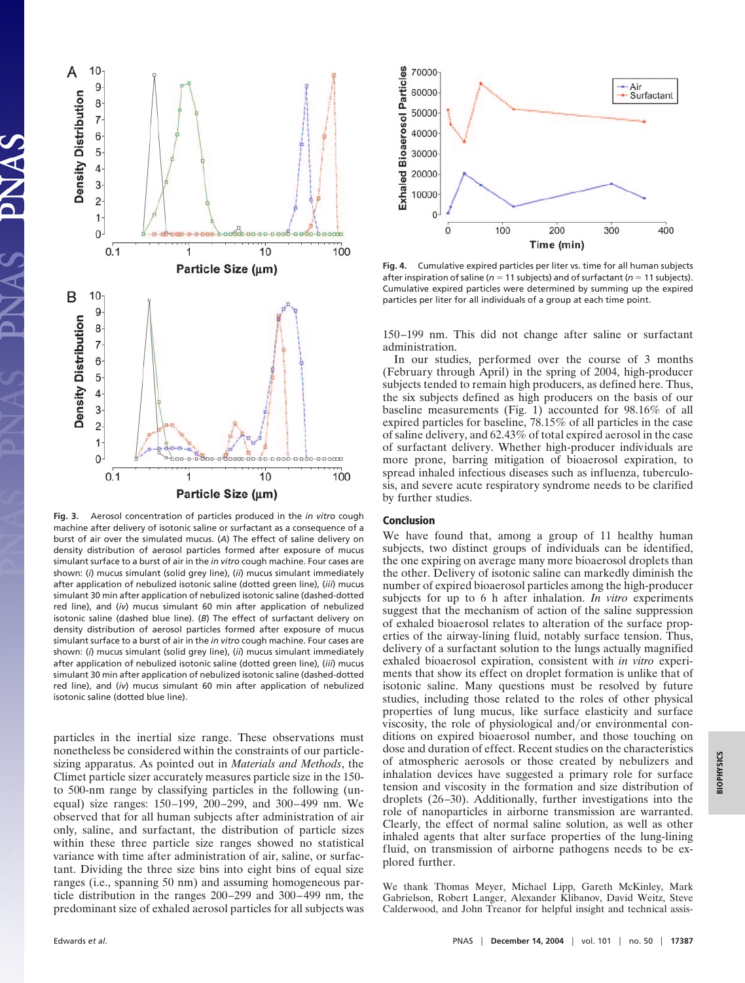

**Fig. 3.** Aerosol concentration of particles produced in the *in vitro* cough machine after delivery of isotonic saline or surfactant as a consequence of a burst of air over the simulated mucus. (*A*) The effect of saline delivery on density distribution of aerosol particles formed after exposure of mucus simulant surface to a burst of air in the *in vitro* cough machine. Four cases are shown: (*i*) mucus simulant (solid grey line), (*ii*) mucus simulant immediately after application of nebulized isotonic saline (dotted green line), (*iii*) mucus simulant 30 min after application of nebulized isotonic saline (dashed-dotted red line), and (*iv*) mucus simulant 60 min after application of nebulized isotonic saline (dashed blue line). (*B*) The effect of surfactant delivery on density distribution of aerosol particles formed after exposure of mucus simulant surface to a burst of air in the *in vitro* cough machine. Four cases are shown: (*i*) mucus simulant (solid grey line), (*ii*) mucus simulant immediately after application of nebulized isotonic saline (dotted green line), (*iii*) mucus simulant 30 min after application of nebulized isotonic saline (dashed-dotted red line), and (*iv*) mucus simulant 60 min after application of nebulized isotonic saline (dotted blue line).

particles in the inertial size range. These observations must nonetheless be considered within the constraints of our particlesizing apparatus. As pointed out in *Materials and Methods*, the Climet particle sizer accurately measures particle size in the 150 to 500-nm range by classifying particles in the following (unequal) size ranges: 150–199, 200–299, and 300–499 nm. We observed that for all human subjects after administration of air only, saline, and surfactant, the distribution of particle sizes within these three particle size ranges showed no statistical variance with time after administration of air, saline, or surfactant. Dividing the three size bins into eight bins of equal size ranges (i.e., spanning 50 nm) and assuming homogeneous particle distribution in the ranges 200–299 and 300–499 nm, the predominant size of exhaled aerosol particles for all subjects was



**Fig. 4.** Cumulative expired particles per liter vs. time for all human subjects after inspiration of saline ( $n = 11$  subjects) and of surfactant ( $n = 11$  subjects). Cumulative expired particles were determined by summing up the expired particles per liter for all individuals of a group at each time point.

150–199 nm. This did not change after saline or surfactant administration.

In our studies, performed over the course of 3 months (February through April) in the spring of 2004, high-producer subjects tended to remain high producers, as defined here. Thus, the six subjects defined as high producers on the basis of our baseline measurements (Fig. 1) accounted for 98.16% of all expired particles for baseline, 78.15% of all particles in the case of saline delivery, and 62.43% of total expired aerosol in the case of surfactant delivery. Whether high-producer individuals are more prone, barring mitigation of bioaerosol expiration, to spread inhaled infectious diseases such as influenza, tuberculosis, and severe acute respiratory syndrome needs to be clarified by further studies.

## **Conclusion**

We have found that, among a group of 11 healthy human subjects, two distinct groups of individuals can be identified, the one expiring on average many more bioaerosol droplets than the other. Delivery of isotonic saline can markedly diminish the number of expired bioaerosol particles among the high-producer subjects for up to 6 h after inhalation. *In vitro* experiments suggest that the mechanism of action of the saline suppression of exhaled bioaerosol relates to alteration of the surface properties of the airway-lining fluid, notably surface tension. Thus, delivery of a surfactant solution to the lungs actually magnified exhaled bioaerosol expiration, consistent with *in vitro* experiments that show its effect on droplet formation is unlike that of isotonic saline. Many questions must be resolved by future studies, including those related to the roles of other physical properties of lung mucus, like surface elasticity and surface viscosity, the role of physiological and/or environmental conditions on expired bioaerosol number, and those touching on dose and duration of effect. Recent studies on the characteristics of atmospheric aerosols or those created by nebulizers and inhalation devices have suggested a primary role for surface tension and viscosity in the formation and size distribution of droplets (26–30). Additionally, further investigations into the role of nanoparticles in airborne transmission are warranted. Clearly, the effect of normal saline solution, as well as other inhaled agents that alter surface properties of the lung-lining fluid, on transmission of airborne pathogens needs to be explored further.

We thank Thomas Meyer, Michael Lipp, Gareth McKinley, Mark Gabrielson, Robert Langer, Alexander Klibanov, David Weitz, Steve Calderwood, and John Treanor for helpful insight and technical assis